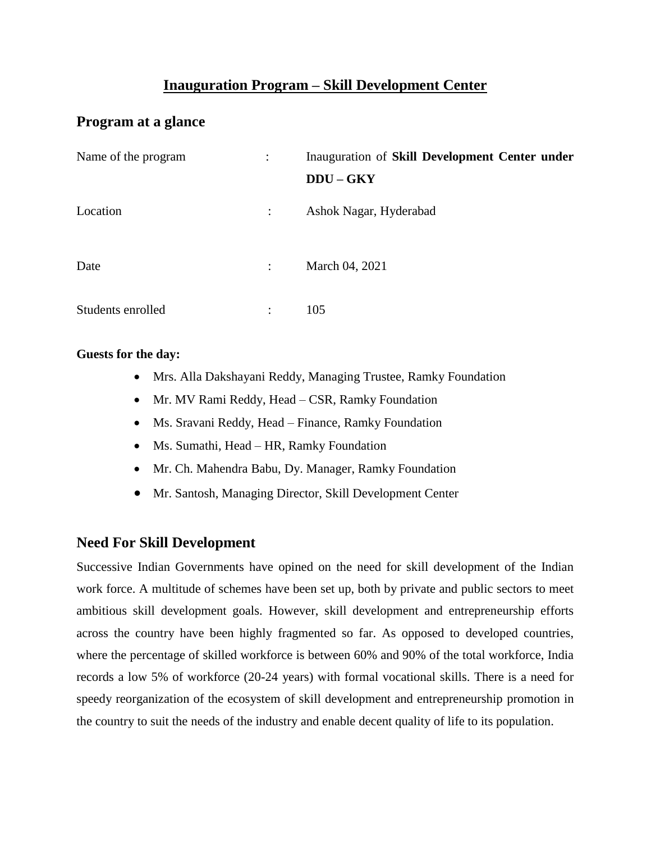## **Inauguration Program – Skill Development Center**

## **Program at a glance**

| Name of the program |                      | Inauguration of Skill Development Center under<br>$DDU - GKY$ |
|---------------------|----------------------|---------------------------------------------------------------|
| Location            | $\ddot{\phantom{a}}$ | Ashok Nagar, Hyderabad                                        |
| Date                | $\ddot{\cdot}$       | March 04, 2021                                                |
| Students enrolled   | $\ddot{\cdot}$       | 105                                                           |

#### **Guests for the day:**

- Mrs. Alla Dakshayani Reddy, Managing Trustee, Ramky Foundation
- Mr. MV Rami Reddy, Head CSR, Ramky Foundation
- Ms. Sravani Reddy, Head Finance, Ramky Foundation
- Ms. Sumathi, Head HR, Ramky Foundation
- Mr. Ch. Mahendra Babu, Dy. Manager, Ramky Foundation
- Mr. Santosh, Managing Director, Skill Development Center

### **Need For Skill Development**

Successive Indian Governments have opined on the need for skill development of the Indian work force. A multitude of schemes have been set up, both by private and public sectors to meet ambitious skill development goals. However, skill development and entrepreneurship efforts across the country have been highly fragmented so far. As opposed to developed countries, where the percentage of skilled workforce is between 60% and 90% of the total workforce, India records a low 5% of workforce (20-24 years) with formal vocational skills. There is a need for speedy reorganization of the ecosystem of skill development and entrepreneurship promotion in the country to suit the needs of the industry and enable decent quality of life to its population.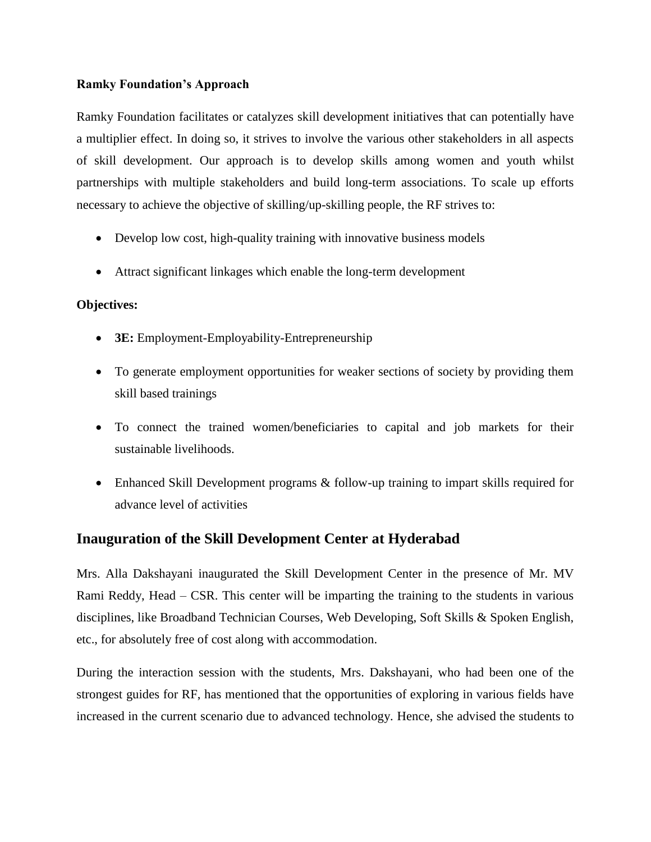#### **Ramky Foundation's Approach**

Ramky Foundation facilitates or catalyzes skill development initiatives that can potentially have a multiplier effect. In doing so, it strives to involve the various other stakeholders in all aspects of skill development. Our approach is to develop skills among women and youth whilst partnerships with multiple stakeholders and build long-term associations. To scale up efforts necessary to achieve the objective of skilling/up-skilling people, the RF strives to:

- Develop low cost, high-quality training with innovative business models
- Attract significant linkages which enable the long-term development

#### **Objectives:**

- **3E:** Employment-Employability-Entrepreneurship
- To generate employment opportunities for weaker sections of society by providing them skill based trainings
- To connect the trained women/beneficiaries to capital and job markets for their sustainable livelihoods.
- Enhanced Skill Development programs & follow-up training to impart skills required for advance level of activities

### **Inauguration of the Skill Development Center at Hyderabad**

Mrs. Alla Dakshayani inaugurated the Skill Development Center in the presence of Mr. MV Rami Reddy, Head – CSR. This center will be imparting the training to the students in various disciplines, like Broadband Technician Courses, Web Developing, Soft Skills & Spoken English, etc., for absolutely free of cost along with accommodation.

During the interaction session with the students, Mrs. Dakshayani, who had been one of the strongest guides for RF, has mentioned that the opportunities of exploring in various fields have increased in the current scenario due to advanced technology. Hence, she advised the students to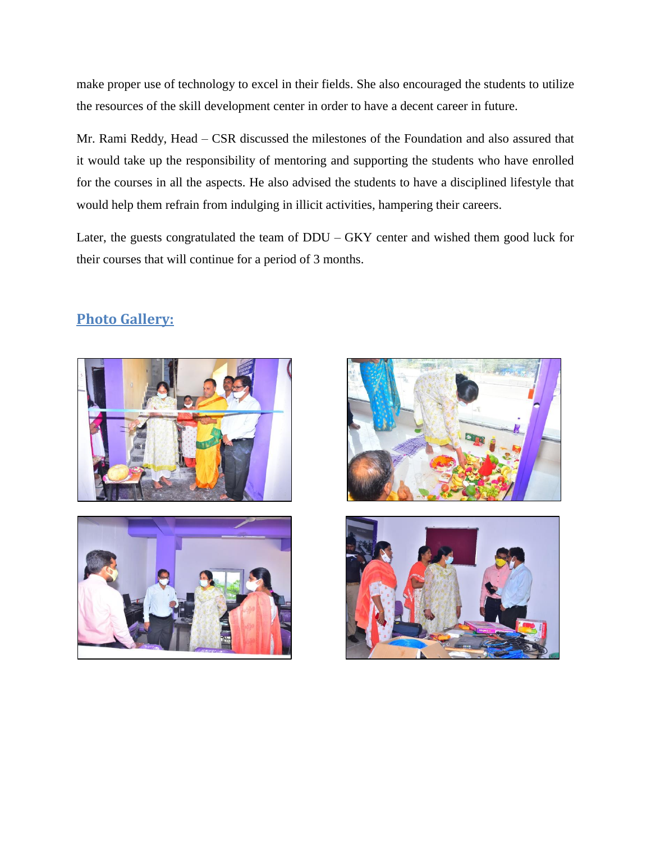make proper use of technology to excel in their fields. She also encouraged the students to utilize the resources of the skill development center in order to have a decent career in future.

Mr. Rami Reddy, Head – CSR discussed the milestones of the Foundation and also assured that it would take up the responsibility of mentoring and supporting the students who have enrolled for the courses in all the aspects. He also advised the students to have a disciplined lifestyle that would help them refrain from indulging in illicit activities, hampering their careers.

Later, the guests congratulated the team of DDU – GKY center and wished them good luck for their courses that will continue for a period of 3 months.



# **Photo Gallery:**